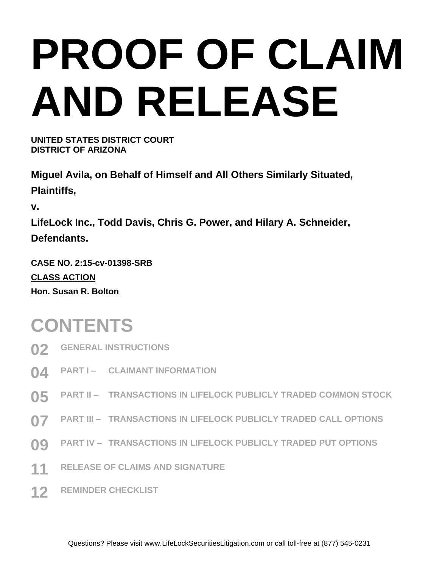# **PROOF OF CLAIM AND RELEASE**

**UNITED STATES DISTRICT COURT DISTRICT OF ARIZONA**

**Miguel Avila, on Behalf of Himself and All Others Similarly Situated, Plaintiffs,**

**v.**

**LifeLock Inc., Todd Davis, Chris G. Power, and Hilary A. Schneider, Defendants.** 

**CASE NO. 2:15-cv-01398-SRB CLASS ACTION Hon. Susan R. Bolton**

### **CONTENTS**

- **02 GENERAL INSTRUCTIONS**
- **04 PART I – CLAIMANT INFORMATION**
- **05 PART II – TRANSACTIONS IN LIFELOCK PUBLICLY TRADED COMMON STOCK**
- **07 PART III – TRANSACTIONS IN LIFELOCK PUBLICLY TRADED CALL OPTIONS**
- **09 PART IV – TRANSACTIONS IN LIFELOCK PUBLICLY TRADED PUT OPTIONS**
- **11 RELEASE OF CLAIMS AND SIGNATURE**
- **12 REMINDER CHECKLIST**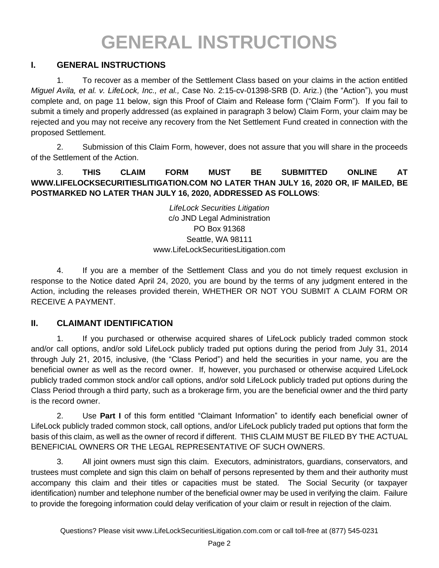### **GENERAL INSTRUCTIONS**

#### **I. GENERAL INSTRUCTIONS**

1. To recover as a member of the Settlement Class based on your claims in the action entitled *Miguel Avila, et al. v. LifeLock, Inc., et al.,* Case No. 2:15-cv-01398-SRB (D. Ariz.) (the "Action"), you must complete and, on page 11 below, sign this Proof of Claim and Release form ("Claim Form"). If you fail to submit a timely and properly addressed (as explained in paragraph 3 below) Claim Form, your claim may be rejected and you may not receive any recovery from the Net Settlement Fund created in connection with the proposed Settlement.

2. Submission of this Claim Form, however, does not assure that you will share in the proceeds of the Settlement of the Action.

#### 3. **THIS CLAIM FORM MUST BE SUBMITTED ONLINE AT WWW.LIFELOCKSECURITIESLITIGATION.COM NO LATER THAN JULY 16, 2020 OR, IF MAILED, BE POSTMARKED NO LATER THAN JULY 16, 2020, ADDRESSED AS FOLLOWS**:

*LifeLock Securities Litigation* c/o JND Legal Administration PO Box 91368 Seattle, WA 98111 www.LifeLockSecuritiesLitigation.com

4. If you are a member of the Settlement Class and you do not timely request exclusion in response to the Notice dated April 24, 2020, you are bound by the terms of any judgment entered in the Action, including the releases provided therein, WHETHER OR NOT YOU SUBMIT A CLAIM FORM OR RECEIVE A PAYMENT.

#### **II. CLAIMANT IDENTIFICATION**

1. If you purchased or otherwise acquired shares of LifeLock publicly traded common stock and/or call options, and/or sold LifeLock publicly traded put options during the period from July 31, 2014 through July 21, 2015, inclusive, (the "Class Period") and held the securities in your name, you are the beneficial owner as well as the record owner. If, however, you purchased or otherwise acquired LifeLock publicly traded common stock and/or call options, and/or sold LifeLock publicly traded put options during the Class Period through a third party, such as a brokerage firm, you are the beneficial owner and the third party is the record owner.

2. Use **Part I** of this form entitled "Claimant Information" to identify each beneficial owner of LifeLock publicly traded common stock, call options, and/or LifeLock publicly traded put options that form the basis of this claim, as well as the owner of record if different. THIS CLAIM MUST BE FILED BY THE ACTUAL BENEFICIAL OWNERS OR THE LEGAL REPRESENTATIVE OF SUCH OWNERS.

3. All joint owners must sign this claim. Executors, administrators, guardians, conservators, and trustees must complete and sign this claim on behalf of persons represented by them and their authority must accompany this claim and their titles or capacities must be stated. The Social Security (or taxpayer identification) number and telephone number of the beneficial owner may be used in verifying the claim. Failure to provide the foregoing information could delay verification of your claim or result in rejection of the claim.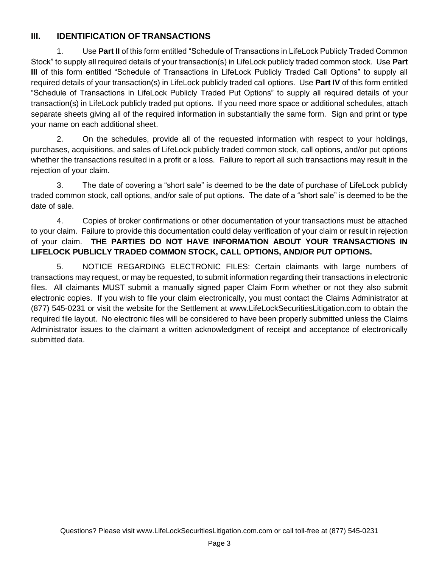#### **III. IDENTIFICATION OF TRANSACTIONS**

1. Use **Part II** of this form entitled "Schedule of Transactions in LifeLock Publicly Traded Common Stock" to supply all required details of your transaction(s) in LifeLock publicly traded common stock. Use **Part III** of this form entitled "Schedule of Transactions in LifeLock Publicly Traded Call Options" to supply all required details of your transaction(s) in LifeLock publicly traded call options. Use **Part IV** of this form entitled "Schedule of Transactions in LifeLock Publicly Traded Put Options" to supply all required details of your transaction(s) in LifeLock publicly traded put options. If you need more space or additional schedules, attach separate sheets giving all of the required information in substantially the same form. Sign and print or type your name on each additional sheet.

2. On the schedules, provide all of the requested information with respect to your holdings, purchases, acquisitions, and sales of LifeLock publicly traded common stock, call options, and/or put options whether the transactions resulted in a profit or a loss. Failure to report all such transactions may result in the rejection of your claim.

3. The date of covering a "short sale" is deemed to be the date of purchase of LifeLock publicly traded common stock, call options, and/or sale of put options. The date of a "short sale" is deemed to be the date of sale.

4. Copies of broker confirmations or other documentation of your transactions must be attached to your claim. Failure to provide this documentation could delay verification of your claim or result in rejection of your claim. **THE PARTIES DO NOT HAVE INFORMATION ABOUT YOUR TRANSACTIONS IN LIFELOCK PUBLICLY TRADED COMMON STOCK, CALL OPTIONS, AND/OR PUT OPTIONS.**

5. NOTICE REGARDING ELECTRONIC FILES: Certain claimants with large numbers of transactions may request, or may be requested, to submit information regarding their transactions in electronic files. All claimants MUST submit a manually signed paper Claim Form whether or not they also submit electronic copies. If you wish to file your claim electronically, you must contact the Claims Administrator at (877) 545-0231 or visit the website for the Settlement at www.LifeLockSecuritiesLitigation.com to obtain the required file layout. No electronic files will be considered to have been properly submitted unless the Claims Administrator issues to the claimant a written acknowledgment of receipt and acceptance of electronically submitted data.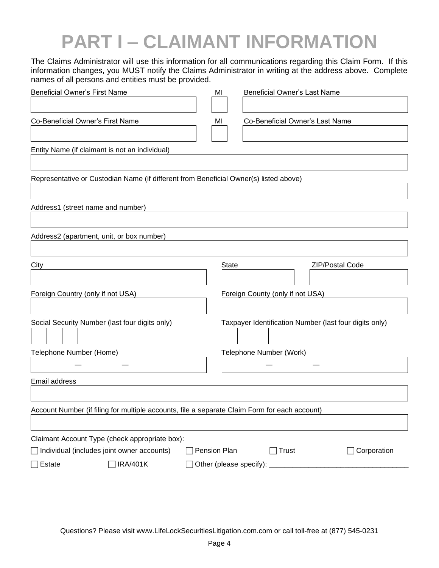# **PART I – CLAIMANT INFORMATION**

The Claims Administrator will use this information for all communications regarding this Claim Form. If this information changes, you MUST notify the Claims Administrator in writing at the address above. Complete names of all persons and entities must be provided.

| <b>Beneficial Owner's First Name</b>                                                          | ΜI           | <b>Beneficial Owner's Last Name</b>                    |
|-----------------------------------------------------------------------------------------------|--------------|--------------------------------------------------------|
|                                                                                               |              |                                                        |
| Co-Beneficial Owner's First Name                                                              | МI           | Co-Beneficial Owner's Last Name                        |
|                                                                                               |              |                                                        |
| Entity Name (if claimant is not an individual)                                                |              |                                                        |
|                                                                                               |              |                                                        |
| Representative or Custodian Name (if different from Beneficial Owner(s) listed above)         |              |                                                        |
|                                                                                               |              |                                                        |
| Address1 (street name and number)                                                             |              |                                                        |
|                                                                                               |              |                                                        |
| Address2 (apartment, unit, or box number)                                                     |              |                                                        |
|                                                                                               |              |                                                        |
| City                                                                                          |              | <b>State</b><br>ZIP/Postal Code                        |
|                                                                                               |              |                                                        |
| Foreign Country (only if not USA)                                                             |              | Foreign County (only if not USA)                       |
|                                                                                               |              |                                                        |
| Social Security Number (last four digits only)                                                |              | Taxpayer Identification Number (last four digits only) |
|                                                                                               |              |                                                        |
| Telephone Number (Home)                                                                       |              | Telephone Number (Work)                                |
|                                                                                               |              |                                                        |
| Email address                                                                                 |              |                                                        |
|                                                                                               |              |                                                        |
| Account Number (if filing for multiple accounts, file a separate Claim Form for each account) |              |                                                        |
|                                                                                               |              |                                                        |
| Claimant Account Type (check appropriate box):                                                |              |                                                        |
| $\Box$ Individual (includes joint owner accounts)                                             | Pension Plan | Corporation<br>$\sqrt{\frac{1}{1}}$ Trust              |
| <b>IRA/401K</b><br>$\Box$ Estate                                                              |              |                                                        |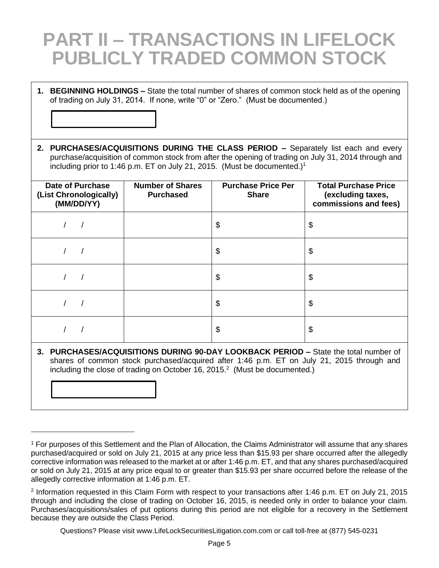### **PART II – TRANSACTIONS IN LIFELOCK PUBLICLY TRADED COMMON STOCK**

- **1. BEGINNING HOLDINGS –** State the total number of shares of common stock held as of the opening of trading on July 31, 2014. If none, write "0" or "Zero." (Must be documented.)
- **2. PURCHASES/ACQUISITIONS DURING THE CLASS PERIOD –** Separately list each and every purchase/acquisition of common stock from after the opening of trading on July 31, 2014 through and including prior to 1:46 p.m. ET on July 21, 2015. (Must be documented.)<sup>1</sup>

| <b>Date of Purchase</b><br>(List Chronologically)<br>(MM/DD/YY) | <b>Number of Shares</b><br><b>Purchased</b> | <b>Purchase Price Per</b><br><b>Share</b> | <b>Total Purchase Price</b><br>(excluding taxes,<br>commissions and fees) |
|-----------------------------------------------------------------|---------------------------------------------|-------------------------------------------|---------------------------------------------------------------------------|
|                                                                 |                                             | \$                                        | \$                                                                        |
|                                                                 |                                             | \$                                        | \$                                                                        |
|                                                                 |                                             | \$                                        | \$                                                                        |
|                                                                 |                                             | \$                                        | \$                                                                        |
|                                                                 |                                             | \$                                        | \$                                                                        |

**3. PURCHASES/ACQUISITIONS DURING 90-DAY LOOKBACK PERIOD –** State the total number of shares of common stock purchased/acquired after 1:46 p.m. ET on July 21, 2015 through and including the close of trading on October 16, 2015. $2$  (Must be documented.)

<sup>1</sup> For purposes of this Settlement and the Plan of Allocation, the Claims Administrator will assume that any shares purchased/acquired or sold on July 21, 2015 at any price less than \$15.93 per share occurred after the allegedly corrective information was released to the market at or after 1:46 p.m. ET, and that any shares purchased/acquired or sold on July 21, 2015 at any price equal to or greater than \$15.93 per share occurred before the release of the allegedly corrective information at 1:46 p.m. ET.

<sup>2</sup> Information requested in this Claim Form with respect to your transactions after 1:46 p.m. ET on July 21, 2015 through and including the close of trading on October 16, 2015, is needed only in order to balance your claim. Purchases/acquisitions/sales of put options during this period are not eligible for a recovery in the Settlement because they are outside the Class Period.

Questions? Please visit www.LifeLockSecuritiesLitigation.com.com or call toll-free at (877) 545-0231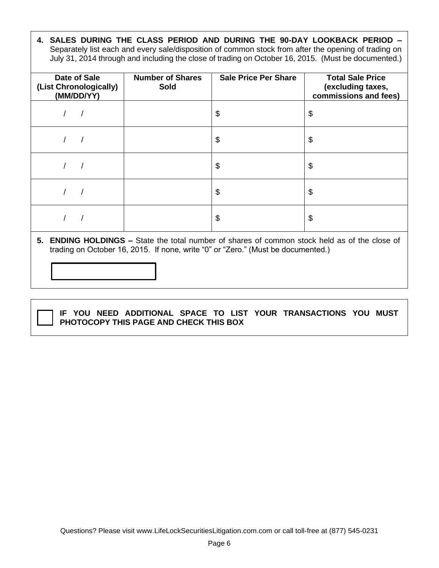**4. SALES DURING THE CLASS PERIOD AND DURING THE 90-DAY LOOKBACK PERIOD –** Separately list each and every sale/disposition of common stock from after the opening of trading on July 31, 2014 through and including the close of trading on October 16, 2015. (Must be documented.)

| Date of Sale<br>(List Chronologically)<br>(MM/DD/YY) | <b>Number of Shares</b><br>Sold | <b>Sale Price Per Share</b> | <b>Total Sale Price</b><br>(excluding taxes,<br>commissions and fees) |
|------------------------------------------------------|---------------------------------|-----------------------------|-----------------------------------------------------------------------|
|                                                      |                                 | \$                          | \$                                                                    |
|                                                      |                                 | \$                          | \$                                                                    |
|                                                      |                                 | \$                          | \$                                                                    |
|                                                      |                                 | \$                          | \$                                                                    |
|                                                      |                                 | \$                          | \$                                                                    |

**5. ENDING HOLDINGS –** State the total number of shares of common stock held as of the close of trading on October 16, 2015. If none, write "0" or "Zero." (Must be documented.)



#### **IF YOU NEED ADDITIONAL SPACE TO LIST YOUR TRANSACTIONS YOU MUST PHOTOCOPY THIS PAGE AND CHECK THIS BOX**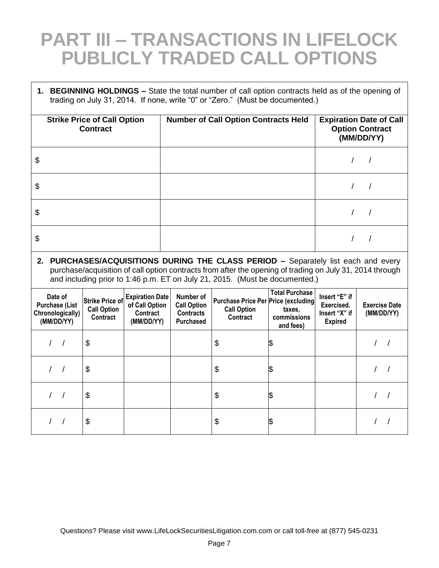### **PART III – TRANSACTIONS IN LIFELOCK PUBLICLY TRADED CALL OPTIONS**

 $\Gamma$ 

 $\overline{\phantom{a}}$ 

| 1. BEGINNING HOLDINGS - State the total number of call option contracts held as of the opening of<br>trading on July 31, 2014. If none, write "0" or "Zero." (Must be documented.) |                                                                                                                                                                                                                                                                               |                                                                    |                                                                  |                                                                                     |                                                                        |                                                                |                                    |
|------------------------------------------------------------------------------------------------------------------------------------------------------------------------------------|-------------------------------------------------------------------------------------------------------------------------------------------------------------------------------------------------------------------------------------------------------------------------------|--------------------------------------------------------------------|------------------------------------------------------------------|-------------------------------------------------------------------------------------|------------------------------------------------------------------------|----------------------------------------------------------------|------------------------------------|
|                                                                                                                                                                                    | <b>Strike Price of Call Option</b><br><b>Contract</b>                                                                                                                                                                                                                         |                                                                    | <b>Number of Call Option Contracts Held</b>                      |                                                                                     | <b>Expiration Date of Call</b><br><b>Option Contract</b><br>(MM/DD/YY) |                                                                |                                    |
| \$                                                                                                                                                                                 |                                                                                                                                                                                                                                                                               |                                                                    |                                                                  |                                                                                     |                                                                        |                                                                |                                    |
| \$                                                                                                                                                                                 |                                                                                                                                                                                                                                                                               |                                                                    |                                                                  |                                                                                     |                                                                        |                                                                |                                    |
| \$                                                                                                                                                                                 |                                                                                                                                                                                                                                                                               |                                                                    |                                                                  |                                                                                     |                                                                        | $\prime$                                                       | $\prime$                           |
| \$                                                                                                                                                                                 |                                                                                                                                                                                                                                                                               |                                                                    |                                                                  |                                                                                     |                                                                        |                                                                | $\prime$                           |
|                                                                                                                                                                                    | 2. PURCHASES/ACQUISITIONS DURING THE CLASS PERIOD - Separately list each and every<br>purchase/acquisition of call option contracts from after the opening of trading on July 31, 2014 through<br>and including prior to 1:46 p.m. ET on July 21, 2015. (Must be documented.) |                                                                    |                                                                  |                                                                                     |                                                                        |                                                                |                                    |
| Date of<br><b>Purchase (List</b><br>Chronologically)<br>(MM/DD/YY)                                                                                                                 | <b>Strike Price of</b><br><b>Call Option</b><br>Contract                                                                                                                                                                                                                      | <b>Expiration Date</b><br>of Call Option<br>Contract<br>(MM/DD/YY) | Number of<br><b>Call Option</b><br><b>Contracts</b><br>Purchased | <b>Purchase Price Per Price (excluding</b><br><b>Call Option</b><br><b>Contract</b> | <b>Total Purchase</b><br>taxes.<br>commissions<br>and fees)            | Insert "E" if<br>Exercised.<br>Insert "X" if<br><b>Expired</b> | <b>Exercise Date</b><br>(MM/DD/YY) |
| $\sqrt{2}$<br>$\sqrt{ }$                                                                                                                                                           | \$                                                                                                                                                                                                                                                                            |                                                                    |                                                                  | \$                                                                                  | \$                                                                     |                                                                | 1 <sup>1</sup>                     |
| $\sqrt{ }$<br>$\sqrt{ }$                                                                                                                                                           | \$                                                                                                                                                                                                                                                                            |                                                                    |                                                                  | \$                                                                                  | \$                                                                     |                                                                | $\prime$                           |
| $\sqrt{2}$<br>$\sqrt{ }$                                                                                                                                                           | \$                                                                                                                                                                                                                                                                            |                                                                    |                                                                  | \$                                                                                  | \$                                                                     |                                                                |                                    |
|                                                                                                                                                                                    | \$                                                                                                                                                                                                                                                                            |                                                                    |                                                                  | \$                                                                                  | \$                                                                     |                                                                |                                    |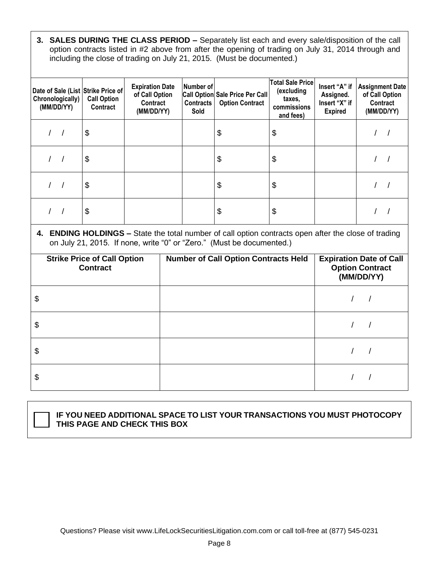**3. SALES DURING THE CLASS PERIOD –** Separately list each and every sale/disposition of the call option contracts listed in #2 above from after the opening of trading on July 31, 2014 through and including the close of trading on July 21, 2015. (Must be documented.)

| Date of Sale (List Strike Price of<br>Chronologically)<br>(MM/DD/YY) | <b>Call Option</b><br>Contract | <b>Expiration Date</b><br>of Call Option<br>Contract<br>(MM/DD/YY) | Number of<br><b>Contracts</b><br>Sold | Call Option Sale Price Per Call<br><b>Option Contract</b> | <b>Total Sale Price</b><br>(excluding<br>taxes,<br>commissions<br>and fees) | Insert "A" if<br>Assigned.<br>Insert "X" if<br><b>Expired</b> | <b>Assignment Date</b><br>of Call Option<br>Contract<br>(MM/DD/YY) |
|----------------------------------------------------------------------|--------------------------------|--------------------------------------------------------------------|---------------------------------------|-----------------------------------------------------------|-----------------------------------------------------------------------------|---------------------------------------------------------------|--------------------------------------------------------------------|
|                                                                      | \$                             |                                                                    |                                       | \$                                                        | \$                                                                          |                                                               |                                                                    |
|                                                                      | \$                             |                                                                    |                                       | \$                                                        | \$                                                                          |                                                               |                                                                    |
|                                                                      | \$                             |                                                                    |                                       | \$                                                        | \$                                                                          |                                                               |                                                                    |
|                                                                      | \$                             |                                                                    |                                       | \$                                                        | \$                                                                          |                                                               |                                                                    |

**4. ENDING HOLDINGS –** State the total number of call option contracts open after the close of trading on July 21, 2015. If none, write "0" or "Zero." (Must be documented.)

| <b>Strike Price of Call Option</b><br><b>Contract</b> | <b>Number of Call Option Contracts Held</b> | <b>Expiration Date of Call</b><br><b>Option Contract</b><br>(MM/DD/YY) |
|-------------------------------------------------------|---------------------------------------------|------------------------------------------------------------------------|
| \$                                                    |                                             |                                                                        |
| \$                                                    |                                             |                                                                        |
| \$                                                    |                                             |                                                                        |
| \$                                                    |                                             |                                                                        |

#### **IF YOU NEED ADDITIONAL SPACE TO LIST YOUR TRANSACTIONS YOU MUST PHOTOCOPY THIS PAGE AND CHECK THIS BOX**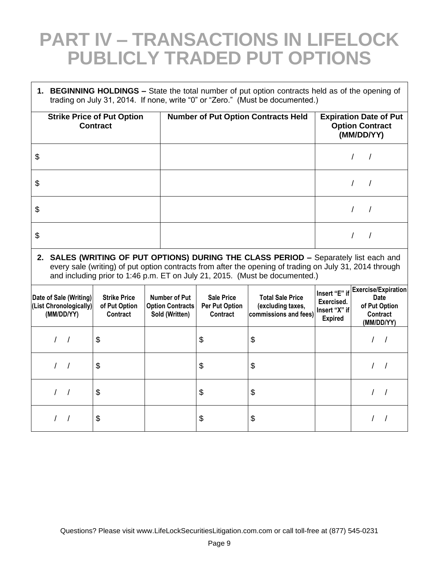### **PART IV – TRANSACTIONS IN LIFELOCK PUBLICLY TRADED PUT OPTIONS**

**1. BEGINNING HOLDINGS –** State the total number of put option contracts held as of the opening of trading on July 31, 2014. If none, write "0" or "Zero." (Must be documented.)

| <b>Strike Price of Put Option</b><br><b>Contract</b> | <b>Number of Put Option Contracts Held</b> | <b>Expiration Date of Put</b><br><b>Option Contract</b><br>(MM/DD/YY) |
|------------------------------------------------------|--------------------------------------------|-----------------------------------------------------------------------|
| \$                                                   |                                            |                                                                       |
| \$                                                   |                                            |                                                                       |
| \$                                                   |                                            |                                                                       |
| \$                                                   |                                            |                                                                       |

**2. SALES (WRITING OF PUT OPTIONS) DURING THE CLASS PERIOD –** Separately list each and every sale (writing) of put option contracts from after the opening of trading on July 31, 2014 through and including prior to 1:46 p.m. ET on July 21, 2015. (Must be documented.)

| Date of Sale (Writing)<br>(List Chronologically)<br>(MM/DD/YY) | <b>Strike Price</b><br>of Put Option<br>Contract | Number of Put<br><b>Option Contracts</b><br>Sold (Written) | <b>Sale Price</b><br><b>Per Put Option</b><br>Contract | <b>Total Sale Price</b><br>(excluding taxes,<br>commissions and fees) | Insert "E" if<br>Exercised.<br>Insert "X" if<br><b>Expired</b> | Exercise/Expiration<br><b>Date</b><br>of Put Option<br><b>Contract</b><br>(MM/DD/YY) |
|----------------------------------------------------------------|--------------------------------------------------|------------------------------------------------------------|--------------------------------------------------------|-----------------------------------------------------------------------|----------------------------------------------------------------|--------------------------------------------------------------------------------------|
|                                                                | \$                                               |                                                            | \$                                                     | \$                                                                    |                                                                |                                                                                      |
|                                                                | \$                                               |                                                            | \$                                                     | \$                                                                    |                                                                |                                                                                      |
|                                                                | \$                                               |                                                            | \$                                                     | \$                                                                    |                                                                |                                                                                      |
|                                                                | \$                                               |                                                            | \$                                                     | \$                                                                    |                                                                |                                                                                      |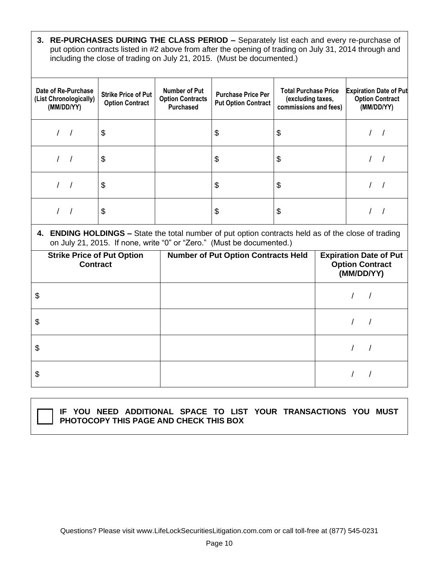**3. RE-PURCHASES DURING THE CLASS PERIOD –** Separately list each and every re-purchase of put option contracts listed in #2 above from after the opening of trading on July 31, 2014 through and including the close of trading on July 21, 2015. (Must be documented.)

| Date of Re-Purchase<br>(List Chronologically)<br>(MM/DD/YY) | <b>Strike Price of Put</b><br><b>Option Contract</b> | Number of Put<br><b>Option Contracts</b><br><b>Purchased</b> | <b>Purchase Price Per</b><br><b>Put Option Contract</b> | <b>Total Purchase Price</b><br>(excluding taxes,<br>commissions and fees) | <b>Expiration Date of Put</b><br><b>Option Contract</b><br>(MM/DD/YY) |
|-------------------------------------------------------------|------------------------------------------------------|--------------------------------------------------------------|---------------------------------------------------------|---------------------------------------------------------------------------|-----------------------------------------------------------------------|
|                                                             | \$                                                   |                                                              | \$                                                      | \$                                                                        |                                                                       |
|                                                             | \$                                                   |                                                              | \$                                                      | \$                                                                        |                                                                       |
|                                                             | \$                                                   |                                                              | \$                                                      | \$                                                                        |                                                                       |
|                                                             | \$                                                   |                                                              | \$                                                      | \$                                                                        |                                                                       |

**4. ENDING HOLDINGS –** State the total number of put option contracts held as of the close of trading on July 21, 2015. If none, write "0" or "Zero." (Must be documented.)

| <b>Strike Price of Put Option</b><br><b>Contract</b> | <b>Number of Put Option Contracts Held</b> | <b>Expiration Date of Put</b><br><b>Option Contract</b><br>(MM/DD/YY) |
|------------------------------------------------------|--------------------------------------------|-----------------------------------------------------------------------|
| \$                                                   |                                            |                                                                       |
| \$                                                   |                                            |                                                                       |
| \$                                                   |                                            |                                                                       |
| \$                                                   |                                            |                                                                       |

**IF YOU NEED ADDITIONAL SPACE TO LIST YOUR TRANSACTIONS YOU MUST PHOTOCOPY THIS PAGE AND CHECK THIS BOX**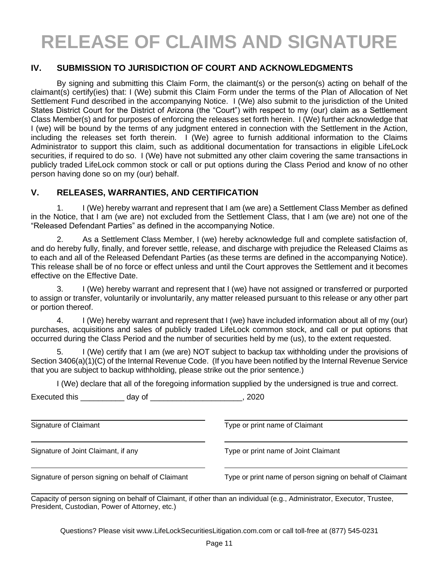# **RELEASE OF CLAIMS AND SIGNATURE**

#### **IV. SUBMISSION TO JURISDICTION OF COURT AND ACKNOWLEDGMENTS**

By signing and submitting this Claim Form, the claimant(s) or the person(s) acting on behalf of the claimant(s) certify(ies) that: I (We) submit this Claim Form under the terms of the Plan of Allocation of Net Settlement Fund described in the accompanying Notice. I (We) also submit to the jurisdiction of the United States District Court for the District of Arizona (the "Court") with respect to my (our) claim as a Settlement Class Member(s) and for purposes of enforcing the releases set forth herein. I (We) further acknowledge that I (we) will be bound by the terms of any judgment entered in connection with the Settlement in the Action, including the releases set forth therein. I (We) agree to furnish additional information to the Claims Administrator to support this claim, such as additional documentation for transactions in eligible LifeLock securities, if required to do so. I (We) have not submitted any other claim covering the same transactions in publicly traded LifeLock common stock or call or put options during the Class Period and know of no other person having done so on my (our) behalf.

#### **V. RELEASES, WARRANTIES, AND CERTIFICATION**

Executed this day of the secure of the secure of the secure of the secure of the secure of the security of the security of the security of the security of the security of the security of the security of the security of the

1. I (We) hereby warrant and represent that I am (we are) a Settlement Class Member as defined in the Notice, that I am (we are) not excluded from the Settlement Class, that I am (we are) not one of the "Released Defendant Parties" as defined in the accompanying Notice.

2. As a Settlement Class Member, I (we) hereby acknowledge full and complete satisfaction of, and do hereby fully, finally, and forever settle, release, and discharge with prejudice the Released Claims as to each and all of the Released Defendant Parties (as these terms are defined in the accompanying Notice). This release shall be of no force or effect unless and until the Court approves the Settlement and it becomes effective on the Effective Date.

3. I (We) hereby warrant and represent that I (we) have not assigned or transferred or purported to assign or transfer, voluntarily or involuntarily, any matter released pursuant to this release or any other part or portion thereof.

4. I (We) hereby warrant and represent that I (we) have included information about all of my (our) purchases, acquisitions and sales of publicly traded LifeLock common stock, and call or put options that occurred during the Class Period and the number of securities held by me (us), to the extent requested.

5. I (We) certify that I am (we are) NOT subject to backup tax withholding under the provisions of Section 3406(a)(1)(C) of the Internal Revenue Code. (If you have been notified by the Internal Revenue Service that you are subject to backup withholding, please strike out the prior sentence.)

I (We) declare that all of the foregoing information supplied by the undersigned is true and correct.

| Signature of Claimant                             | Type or print name of Claimant                             |
|---------------------------------------------------|------------------------------------------------------------|
| Signature of Joint Claimant, if any               | Type or print name of Joint Claimant                       |
| Signature of person signing on behalf of Claimant | Type or print name of person signing on behalf of Claimant |

Capacity of person signing on behalf of Claimant, if other than an individual (e.g., Administrator, Executor, Trustee, President, Custodian, Power of Attorney, etc.)